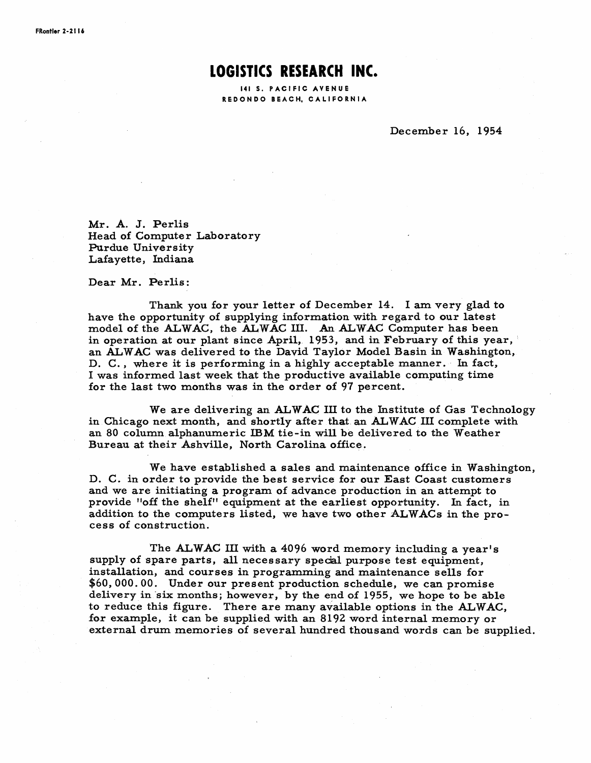## **LOGISTICS RESEARCH INC.**

141 S. PACIFIC AVENUE RED ON DO BEACH, CALIFORNIA

December 16, 1954

Mr. A. J. Perlis Head of Computer Laboratory Purdue University Lafayette, Indiana

Dear Mr. Perlis:

Thank you for your letter of December 14. I am very glad to have the opportunity of supplying information with regard to our latest model of the ALWAC, the ALWAC III. An ALWAC Computer has been in operation at our plant since April, 1953, and in February of this year, an ALW AC was delivered to the David Taylor Model Basin in Washington, D. C., where it is performing in a highly acceptable manner. In fact, I was informed last week that the productive available computing time for the last two months was in the order of 97 percent.

We are delivering an ALWAC III to the Institute of Gas Technology in Chicago next month, and shortly after that an ALWAC III complete with an 80 column alphanumeric IBM tie-in will be delivered to the Weather Bureau at their Ashville, North Carolina office.

We have established a sales and maintenance office in Washington, D. C. in order to provide the best service for our East Coast customers and we are initiating a program of advance production in an attempt to provide "off the shelf" equipment at the earliest opportunity. In fact, in addition to the computers listed, we have two other ALW ACs in the process of construction.

The ALWAC III with a 4096 word memory including a year's supply of spare parts, all necessary special purpose test equipment, installation, and courses in programming and maintenance sells for \$60,000.00. Under our present production schedule, we can promise delivery in 'six months; however, by the end of 1955, we hope to be able to reduce this figure. There are many available options in the ALWAC, for example, it can be supplied with an 8192 word internal memory or external drum memories of several hundred thousand words can be supplied.